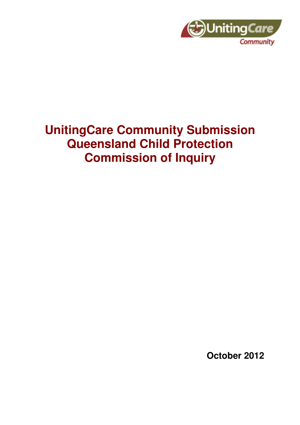

# **UnitingCare Community Submission Queensland Child Protection Commission of Inquiry**

**October 2012**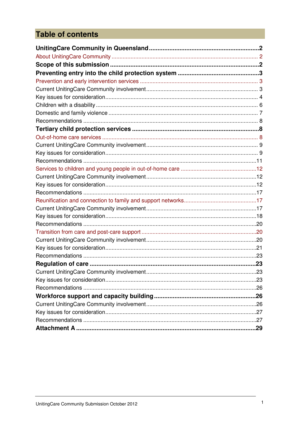# **Table of contents**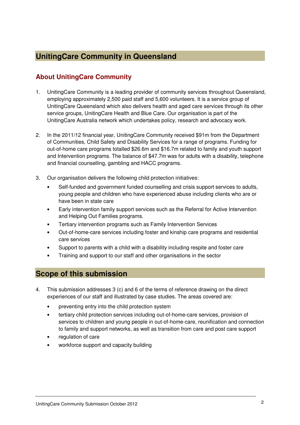# **UnitingCare Community in Queensland**

# **About UnitingCare Community**

- 1. UnitingCare Community is a leading provider of community services throughout Queensland, employing approximately 2,500 paid staff and 5,600 volunteers. It is a service group of UnitingCare Queensland which also delivers health and aged care services through its other service groups, UnitingCare Health and Blue Care. Our organisation is part of the UnitingCare Australia network which undertakes policy, research and advocacy work.
- 2. In the 2011/12 financial year, UnitingCare Community received \$91m from the Department of Communities, Child Safety and Disability Services for a range of programs. Funding for out-of-home care programs totalled \$26.6m and \$16.7m related to family and youth support and Intervention programs. The balance of \$47.7m was for adults with a disability, telephone and financial counselling, gambling and HACC programs.
- 3. Our organisation delivers the following child protection initiatives:
	- Self-funded and government funded counselling and crisis support services to adults, young people and children who have experienced abuse including clients who are or have been in state care
	- Early intervention family support services such as the Referral for Active Intervention and Helping Out Families programs.
	- Tertiary intervention programs such as Family Intervention Services
	- Out-of-home-care services including foster and kinship care programs and residential care services
	- Support to parents with a child with a disability including respite and foster care
	- Training and support to our staff and other organisations in the sector

# **Scope of this submission**

- 4. This submission addresses 3 (c) and 6 of the terms of reference drawing on the direct experiences of our staff and illustrated by case studies. The areas covered are:
	- preventing entry into the child protection system
	- tertiary child protection services including out-of-home-care services, provision of services to children and young people in out-of-home-care, reunification and connection to family and support networks, as well as transition from care and post care support
	- regulation of care
	- workforce support and capacity building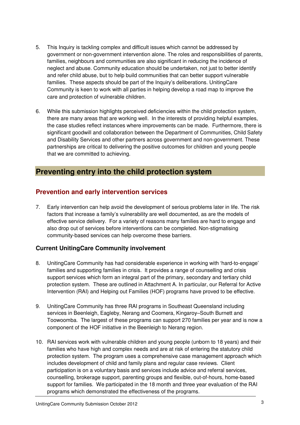- 5. This Inquiry is tackling complex and difficult issues which cannot be addressed by government or non-government intervention alone. The roles and responsibilities of parents, families, neighbours and communities are also significant in reducing the incidence of neglect and abuse. Community education should be undertaken, not just to better identify and refer child abuse, but to help build communities that can better support vulnerable families. These aspects should be part of the Inquiry's deliberations. UnitingCare Community is keen to work with all parties in helping develop a road map to improve the care and protection of vulnerable children.
- 6. While this submission highlights perceived deficiencies within the child protection system, there are many areas that are working well. In the interests of providing helpful examples, the case studies reflect instances where improvements can be made. Furthermore, there is significant goodwill and collaboration between the Department of Communities, Child Safety and Disability Services and other partners across government and non-government. These partnerships are critical to delivering the positive outcomes for children and young people that we are committed to achieving.

# **Preventing entry into the child protection system**

# **Prevention and early intervention services**

7. Early intervention can help avoid the development of serious problems later in life. The risk factors that increase a family's vulnerability are well documented, as are the models of effective service delivery. For a variety of reasons many families are hard to engage and also drop out of services before interventions can be completed. Non-stigmatising community-based services can help overcome these barriers.

# **Current UnitingCare Community involvement**

- 8. UnitingCare Community has had considerable experience in working with 'hard-to-engage' families and supporting families in crisis. It provides a range of counselling and crisis support services which form an integral part of the primary, secondary and tertiary child protection system. These are outlined in Attachment A. In particular, our Referral for Active Intervention (RAI) and Helping out Families (HOF) programs have proved to be effective.
- 9. UnitingCare Community has three RAI programs in Southeast Queensland including services in Beenleigh, Eagleby, Nerang and Coomera, Kingaroy–South Burnett and Toowoomba. The largest of these programs can support 270 families per year and is now a component of the HOF initiative in the Beenleigh to Nerang region.
- 10. RAI services work with vulnerable children and young people (unborn to 18 years) and their families who have high and complex needs and are at risk of entering the statutory child protection system. The program uses a comprehensive case management approach which includes development of child and family plans and regular case reviews. Client participation is on a voluntary basis and services include advice and referral services, counselling, brokerage support, parenting groups and flexible, out-of-hours, home-based support for families. We participated in the 18 month and three year evaluation of the RAI programs which demonstrated the effectiveness of the programs.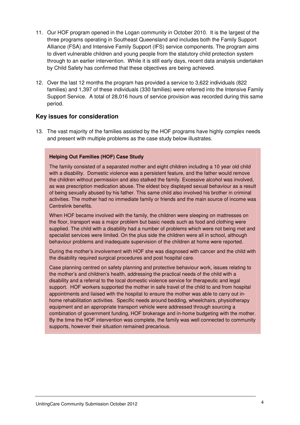- 11. Our HOF program opened in the Logan community in October 2010. It is the largest of the three programs operating in Southeast Queensland and includes both the Family Support Alliance (FSA) and Intensive Family Support (IFS) service components. The program aims to divert vulnerable children and young people from the statutory child protection system through to an earlier intervention. While it is still early days, recent data analysis undertaken by Child Safety has confirmed that these objectives are being achieved.
- 12. Over the last 12 months the program has provided a service to 3,622 individuals (822 families) and 1,397 of these individuals (330 families) were referred into the Intensive Family Support Service. A total of 28,016 hours of service provision was recorded during this same period.

#### **Key issues for consideration**

13. The vast majority of the families assisted by the HOF programs have highly complex needs and present with multiple problems as the case study below illustrates.

#### **Helping Out Families (HOF) Case Study**

The family consisted of a separated mother and eight children including a 10 year old child with a disability. Domestic violence was a persistent feature, and the father would remove the children without permission and also stalked the family. Excessive alcohol was involved, as was prescription medication abuse. The eldest boy displayed sexual behaviour as a result of being sexually abused by his father. This same child also involved his brother in criminal activities. The mother had no immediate family or friends and the main source of income was Centrelink benefits.

When HOF became involved with the family, the children were sleeping on mattresses on the floor, transport was a major problem but basic needs such as food and clothing were supplied. The child with a disability had a number of problems which were not being met and specialist services were limited. On the plus side the children were all in school, although behaviour problems and inadequate supervision of the children at home were reported.

During the mother's involvement with HOF she was diagnosed with cancer and the child with the disability required surgical procedures and post hospital care.

Case planning centred on safety planning and protective behaviour work, issues relating to the mother's and children's health, addressing the practical needs of the child with a disability and a referral to the local domestic violence service for therapeutic and legal support. HOF workers supported the mother in safe travel of the child to and from hospital appointments and liaised with the hospital to ensure the mother was able to carry out inhome rehabilitation activities. Specific needs around bedding, wheelchairs, physiotherapy equipment and an appropriate transport vehicle were addressed through sourcing a combination of government funding, HOF brokerage and in-home budgeting with the mother. By the time the HOF intervention was complete, the family was well connected to community supports, however their situation remained precarious.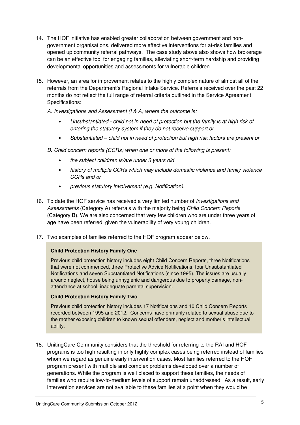- 14. The HOF initiative has enabled greater collaboration between government and nongovernment organisations, delivered more effective interventions for at-risk families and opened up community referral pathways. The case study above also shows how brokerage can be an effective tool for engaging families, alleviating short-term hardship and providing developmental opportunities and assessments for vulnerable children.
- 15. However, an area for improvement relates to the highly complex nature of almost all of the referrals from the Department's Regional Intake Service. Referrals received over the past 22 months do not reflect the full range of referral criteria outlined in the Service Agreement Specifications:
	- A. Investigations and Assessment (I & A) where the outcome is:
		- Unsubstantiated child not in need of protection but the family is at high risk of entering the statutory system if they do not receive support or
		- Substantiated child not in need of protection but high risk factors are present or
	- B. Child concern reports (CCRs) when one or more of the following is present:
		- the subject child/ren is/are under 3 years old
		- history of multiple CCRs which may include domestic violence and family violence CCRs and or
		- previous statutory involvement (e.g. Notification).
- 16. To date the HOF service has received a very limited number of Investigations and Assessments (Category A) referrals with the majority being Child Concern Reports (Category B). We are also concerned that very few children who are under three years of age have been referred, given the vulnerability of very young children.
- 17. Two examples of families referred to the HOF program appear below.

#### **Child Protection History Family One**

Previous child protection history includes eight Child Concern Reports, three Notifications that were not commenced, three Protective Advice Notifications, four Unsubstantiated Notifications and seven Substantiated Notifications (since 1995). The issues are usually around neglect, house being unhygienic and dangerous due to property damage, nonattendance at school, inadequate parental supervision.

#### **Child Protection History Family Two**

Previous child protection history includes 17 Notifications and 10 Child Concern Reports recorded between 1995 and 2012. Concerns have primarily related to sexual abuse due to the mother exposing children to known sexual offenders, neglect and mother's intellectual ability.

18. UnitingCare Community considers that the threshold for referring to the RAI and HOF programs is too high resulting in only highly complex cases being referred instead of families whom we regard as genuine early intervention cases. Most families referred to the HOF program present with multiple and complex problems developed over a number of generations. While the program is well placed to support these families, the needs of families who require low-to-medium levels of support remain unaddressed. As a result, early intervention services are not available to these families at a point when they would be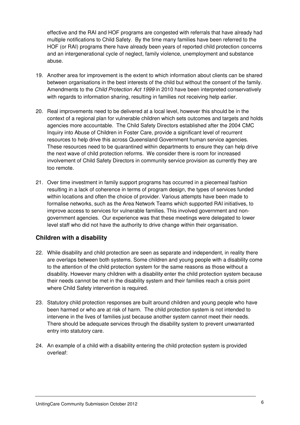effective and the RAI and HOF programs are congested with referrals that have already had multiple notifications to Child Safety. By the time many families have been referred to the HOF (or RAI) programs there have already been years of reported child protection concerns and an intergenerational cycle of neglect, family violence, unemployment and substance abuse.

- 19. Another area for improvement is the extent to which information about clients can be shared between organisations in the best interests of the child but without the consent of the family. Amendments to the Child Protection Act 1999 in 2010 have been interpreted conservatively with regards to information sharing, resulting in families not receiving help earlier.
- 20. Real improvements need to be delivered at a local level, however this should be in the context of a regional plan for vulnerable children which sets outcomes and targets and holds agencies more accountable. The Child Safety Directors established after the 2004 CMC Inquiry into Abuse of Children in Foster Care, provide a significant level of recurrent resources to help drive this across Queensland Government human service agencies. These resources need to be quarantined within departments to ensure they can help drive the next wave of child protection reforms. We consider there is room for increased involvement of Child Safety Directors in community service provision as currently they are too remote.
- 21. Over time investment in family support programs has occurred in a piecemeal fashion resulting in a lack of coherence in terms of program design, the types of services funded within locations and often the choice of provider. Various attempts have been made to formalise networks, such as the Area Network Teams which supported RAI initiatives, to improve access to services for vulnerable families. This involved government and nongovernment agencies. Our experience was that these meetings were delegated to lower level staff who did not have the authority to drive change within their organisation.

# **Children with a disability**

- 22. While disability and child protection are seen as separate and independent, in reality there are overlaps between both systems. Some children and young people with a disability come to the attention of the child protection system for the same reasons as those without a disability. However many children with a disability enter the child protection system because their needs cannot be met in the disability system and their families reach a crisis point where Child Safety intervention is required.
- 23. Statutory child protection responses are built around children and young people who have been harmed or who are at risk of harm. The child protection system is not intended to intervene in the lives of families just because another system cannot meet their needs. There should be adequate services through the disability system to prevent unwarranted entry into statutory care.
- 24. An example of a child with a disability entering the child protection system is provided overleaf: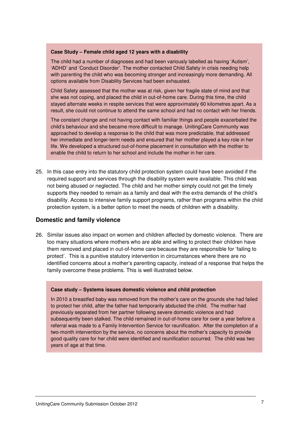#### **Case Study – Female child aged 12 years with a disability**

The child had a number of diagnoses and had been variously labelled as having 'Autism', 'ADHD' and 'Conduct Disorder'. The mother contacted Child Safety in crisis needing help with parenting the child who was becoming stronger and increasingly more demanding. All options available from Disability Services had been exhausted.

Child Safety assessed that the mother was at risk, given her fragile state of mind and that she was not coping, and placed the child in out-of-home care. During this time, the child stayed alternate weeks in respite services that were approximately 60 kilometres apart. As a result, she could not continue to attend the same school and had no contact with her friends.

The constant change and not having contact with familiar things and people exacerbated the child's behaviour and she became more difficult to manage. UnitingCare Community was approached to develop a response to the child that was more predictable, that addressed her immediate and longer-term needs and ensured that her mother played a key role in her life. We developed a structured out-of-home placement in consultation with the mother to enable the child to return to her school and include the mother in her care.

25. In this case entry into the statutory child protection system could have been avoided if the required support and services through the disability system were available. This child was not being abused or neglected. The child and her mother simply could not get the timely supports they needed to remain as a family and deal with the extra demands of the child's disability. Access to intensive family support programs, rather than programs within the child protection system, is a better option to meet the needs of children with a disability.

#### **Domestic and family violence**

26. Similar issues also impact on women and children affected by domestic violence. There are too many situations where mothers who are able and willing to protect their children have them removed and placed in out-of-home care because they are responsible for 'failing to protect'. This is a punitive statutory intervention in circumstances where there are no identified concerns about a mother's parenting capacity, instead of a response that helps the family overcome these problems. This is well illustrated below.

#### **Case study – Systems issues domestic violence and child protection**

In 2010 a breastfed baby was removed from the mother's care on the grounds she had failed to protect her child, after the father had temporarily abducted the child. The mother had previously separated from her partner following severe domestic violence and had subsequently been stalked. The child remained in out-of-home care for over a year before a referral was made to a Family Intervention Service for reunification. After the completion of a two-month intervention by the service, no concerns about the mother's capacity to provide good quality care for her child were identified and reunification occurred. The child was two years of age at that time.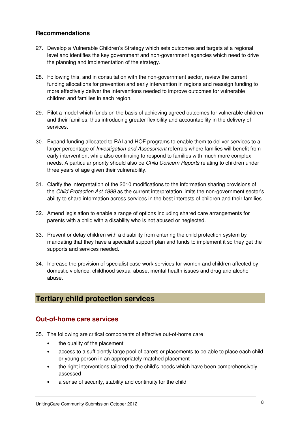### **Recommendations**

- 27. Develop a Vulnerable Children's Strategy which sets outcomes and targets at a regional level and identifies the key government and non-government agencies which need to drive the planning and implementation of the strategy.
- 28. Following this, and in consultation with the non-government sector, review the current funding allocations for prevention and early intervention in regions and reassign funding to more effectively deliver the interventions needed to improve outcomes for vulnerable children and families in each region.
- 29. Pilot a model which funds on the basis of achieving agreed outcomes for vulnerable children and their families, thus introducing greater flexibility and accountability in the delivery of services.
- 30. Expand funding allocated to RAI and HOF programs to enable them to deliver services to a larger percentage of *Investigation and Assessment* referrals where families will benefit from early intervention, while also continuing to respond to families with much more complex needs. A particular priority should also be *Child Concern Reports* relating to children under three years of age given their vulnerability.
- 31. Clarify the interpretation of the 2010 modifications to the information sharing provisions of the Child Protection Act 1999 as the current interpretation limits the non-government sector's ability to share information across services in the best interests of children and their families.
- 32. Amend legislation to enable a range of options including shared care arrangements for parents with a child with a disability who is not abused or neglected.
- 33. Prevent or delay children with a disability from entering the child protection system by mandating that they have a specialist support plan and funds to implement it so they get the supports and services needed.
- 34. Increase the provision of specialist case work services for women and children affected by domestic violence, childhood sexual abuse, mental health issues and drug and alcohol abuse.

# **Tertiary child protection services**

# **Out-of-home care services**

- 35. The following are critical components of effective out-of-home care:
	- the quality of the placement
	- access to a sufficiently large pool of carers or placements to be able to place each child or young person in an appropriately matched placement
	- the right interventions tailored to the child's needs which have been comprehensively assessed
	- a sense of security, stability and continuity for the child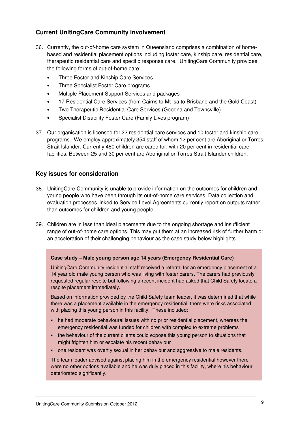# **Current UnitingCare Community involvement**

- 36. Currently, the out-of-home care system in Queensland comprises a combination of homebased and residential placement options including foster care, kinship care, residential care, therapeutic residential care and specific response care. UnitingCare Community provides the following forms of out-of-home care:
	- Three Foster and Kinship Care Services
	- Three Specialist Foster Care programs
	- Multiple Placement Support Services and packages
	- 17 Residential Care Services (from Cairns to Mt Isa to Brisbane and the Gold Coast)
	- Two Therapeutic Residential Care Services (Goodna and Townsville)
	- Specialist Disability Foster Care (Family Lives program)
- 37. Our organisation is licensed for 22 residential care services and 10 foster and kinship care programs. We employ approximately 354 staff of whom 12 per cent are Aboriginal or Torres Strait Islander. Currently 480 children are cared for, with 20 per cent in residential care facilities. Between 25 and 30 per cent are Aboriginal or Torres Strait Islander children.

# **Key issues for consideration**

- 38. UnitingCare Community is unable to provide information on the outcomes for children and young people who have been through its out-of-home care services. Data collection and evaluation processes linked to Service Level Agreements currently report on outputs rather than outcomes for children and young people.
- 39. Children are in less than ideal placements due to the ongoing shortage and insufficient range of out-of-home care options. This may put them at an increased risk of further harm or an acceleration of their challenging behaviour as the case study below highlights.

#### **Case study – Male young person age 14 years (Emergency Residential Care)**

UnitingCare Community residential staff received a referral for an emergency placement of a 14 year old male young person who was living with foster carers. The carers had previously requested regular respite but following a recent incident had asked that Child Safety locate a respite placement immediately.

Based on information provided by the Child Safety team leader, it was determined that while there was a placement available in the emergency residential, there were risks associated with placing this young person in this facility. These included:

- he had moderate behavioural issues with no prior residential placement, whereas the emergency residential was funded for children with complex to extreme problems
- the behaviour of the current clients could expose this young person to situations that might frighten him or escalate his recent behaviour
- **one resident was overtly sexual in her behaviour and aggressive to male residents.**

The team leader advised against placing him in the emergency residential however there were no other options available and he was duly placed in this facility, where his behaviour deteriorated significantly.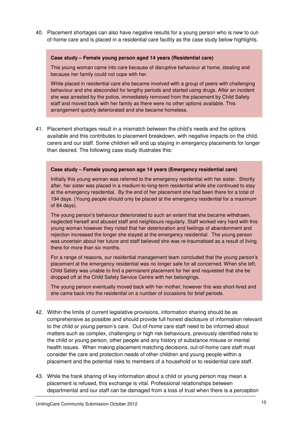40. Placement shortages can also have negative results for a young person who is new to outof-home care and is placed in a residential care facility as the case study below highlights.

#### **Case study – Female young person aged 14 years (Residential care)**

This young woman came into care because of disruptive behaviour at home, stealing and because her family could not cope with her.

While placed in residential care she became involved with a group of peers with challenging behaviour and she absconded for lengthy periods and started using drugs. After an incident she was arrested by the police, immediately removed from the placement by Child Safety staff and moved back with her family as there were no other options available. This arrangement quickly deteriorated and she became homeless.

41. Placement shortages result in a mismatch between the child's needs and the options available and this contributes to placement breakdown, with negative impacts on the child, carers and our staff. Some children will end up staying in emergency placements for longer than desired. The following case study illustrates this:

#### **Case study – Female young person age 14 years (Emergency residential care)**

Initially this young woman was referred to the emergency residential with her sister. Shortly after, her sister was placed in a medium-to-long-term residential while she continued to stay at the emergency residential. By the end of her placement she had been there for a total of 194 days. (Young people should only be placed at the emergency residential for a maximum of 84 days).

The young person's behaviour deteriorated to such an extent that she became withdrawn, neglected herself and abused staff and neighbours regularly. Staff worked very hard with this young woman however they noted that her deterioration and feelings of abandonment and rejection increased the longer she stayed at the emergency residential. The young person was uncertain about her future and staff believed she was re-traumatised as a result of living there for more than six months.

For a range of reasons, our residential management team concluded that the young person's placement at the emergency residential was no longer safe for all concerned. When she left, Child Safety was unable to find a permanent placement for her and requested that she be dropped off at the Child Safety Service Centre with her belongings.

The young person eventually moved back with her mother, however this was short-lived and she came back into the residential on a number of occasions for brief periods.

- 42. Within the limits of current legislative provisions, information sharing should be as comprehensive as possible and should provide full honest disclosure of information relevant to the child or young person's care. Out-of-home care staff need to be informed about matters such as complex, challenging or high risk behaviours, previously identified risks to the child or young person, other people and any history of substance misuse or mental health issues. When making placement matching decisions, out-of-home care staff must consider the care and protection needs of other children and young people within a placement and the potential risks to members of a household or to residential care staff.
- 43. While the frank sharing of key information about a child or young person may mean a placement is refused, this exchange is vital. Professional relationships between departmental and our staff can be damaged from a loss of trust when there is a perception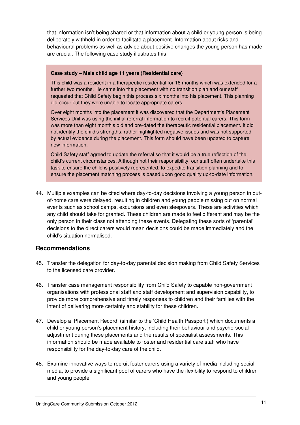that information isn't being shared or that information about a child or young person is being deliberately withheld in order to facilitate a placement. Information about risks and behavioural problems as well as advice about positive changes the young person has made are crucial. The following case study illustrates this:

#### **Case study – Male child age 11 years (Residential care)**

This child was a resident in a therapeutic residential for 18 months which was extended for a further two months. He came into the placement with no transition plan and our staff requested that Child Safety begin this process six months into his placement. This planning did occur but they were unable to locate appropriate carers.

Over eight months into the placement it was discovered that the Department's Placement Services Unit was using the initial referral information to recruit potential carers. This form was more than eight month's old and pre-dated the therapeutic residential placement. It did not identify the child's strengths, rather highlighted negative issues and was not supported by actual evidence during the placement. This form should have been updated to capture new information.

Child Safety staff agreed to update the referral so that it would be a true reflection of the child's current circumstances. Although not their responsibility, our staff often undertake this task to ensure the child is positively represented, to expedite transition planning and to ensure the placement matching process is based upon good quality up-to-date information.

44. Multiple examples can be cited where day-to-day decisions involving a young person in outof-home care were delayed, resulting in children and young people missing out on normal events such as school camps, excursions and even sleepovers. These are activities which any child should take for granted. These children are made to feel different and may be the only person in their class not attending these events. Delegating these sorts of 'parental' decisions to the direct carers would mean decisions could be made immediately and the child's situation normalised.

#### **Recommendations**

- 45. Transfer the delegation for day-to-day parental decision making from Child Safety Services to the licensed care provider.
- 46. Transfer case management responsibility from Child Safety to capable non-government organisations with professional staff and staff development and supervision capability, to provide more comprehensive and timely responses to children and their families with the intent of delivering more certainty and stability for these children.
- 47. Develop a 'Placement Record' (similar to the 'Child Health Passport') which documents a child or young person's placement history, including their behaviour and psycho-social adjustment during these placements and the results of specialist assessments. This information should be made available to foster and residential care staff who have responsibility for the day-to-day care of the child.
- 48. Examine innovative ways to recruit foster carers using a variety of media including social media, to provide a significant pool of carers who have the flexibility to respond to children and young people.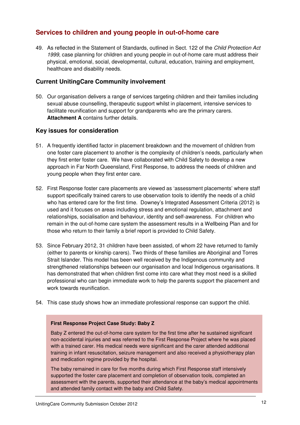# **Services to children and young people in out-of-home care**

49. As reflected in the Statement of Standards, outlined in Sect. 122 of the Child Protection Act 1999, case planning for children and young people in out-of-home care must address their physical, emotional, social, developmental, cultural, education, training and employment, healthcare and disability needs.

### **Current UnitingCare Community involvement**

50. Our organisation delivers a range of services targeting children and their families including sexual abuse counselling, therapeutic support whilst in placement, intensive services to facilitate reunification and support for grandparents who are the primary carers. **Attachment A** contains further details.

#### **Key issues for consideration**

- 51. A frequently identified factor in placement breakdown and the movement of children from one foster care placement to another is the complexity of children's needs, particularly when they first enter foster care. We have collaborated with Child Safety to develop a new approach in Far North Queensland, First Response, to address the needs of children and young people when they first enter care.
- 52. First Response foster care placements are viewed as 'assessment placements' where staff support specifically trained carers to use observation tools to identify the needs of a child who has entered care for the first time. Downey's Integrated Assessment Criteria (2012) is used and it focuses on areas including stress and emotional regulation, attachment and relationships, socialisation and behaviour, identity and self-awareness. For children who remain in the out-of-home care system the assessment results in a Wellbeing Plan and for those who return to their family a brief report is provided to Child Safety.
- 53. Since February 2012, 31 children have been assisted, of whom 22 have returned to family (either to parents or kinship carers). Two thirds of these families are Aboriginal and Torres Strait Islander. This model has been well received by the Indigenous community and strengthened relationships between our organisation and local Indigenous organisations. It has demonstrated that when children first come into care what they most need is a skilled professional who can begin immediate work to help the parents support the placement and work towards reunification.
- 54. This case study shows how an immediate professional response can support the child.

#### **First Response Project Case Study: Baby Z**

Baby Z entered the out-of-home care system for the first time after he sustained significant non-accidental injuries and was referred to the First Response Project where he was placed with a trained carer. His medical needs were significant and the carer attended additional training in infant resuscitation, seizure management and also received a physiotherapy plan and medication regime provided by the hospital.

The baby remained in care for five months during which First Response staff intensively supported the foster care placement and completion of observation tools, completed an assessment with the parents, supported their attendance at the baby's medical appointments and attended family contact with the baby and Child Safety.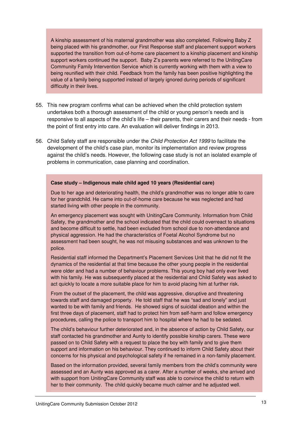A kinship assessment of his maternal grandmother was also completed. Following Baby Z being placed with his grandmother, our First Response staff and placement support workers supported the transition from out-of-home care placement to a kinship placement and kinship support workers continued the support. Baby Z's parents were referred to the UnitingCare Community Family Intervention Service which is currently working with them with a view to being reunified with their child. Feedback from the family has been positive highlighting the value of a family being supported instead of largely ignored during periods of significant difficulty in their lives.

- 55. This new program confirms what can be achieved when the child protection system undertakes both a thorough assessment of the child or young person's needs and is responsive to all aspects of the child's life – their parents, their carers and their needs - from the point of first entry into care. An evaluation will deliver findings in 2013.
- 56. Child Safety staff are responsible under the Child Protection Act 1999 to facilitate the development of the child's case plan, monitor its implementation and review progress against the child's needs. However, the following case study is not an isolated example of problems in communication, case planning and coordination.

#### **Case study – Indigenous male child aged 10 years (Residential care)**

Due to her age and deteriorating health, the child's grandmother was no longer able to care for her grandchild. He came into out-of-home care because he was neglected and had started living with other people in the community.

An emergency placement was sought with UnitingCare Community. Information from Child Safety, the grandmother and the school indicated that the child could overreact to situations and become difficult to settle, had been excluded from school due to non-attendance and physical aggression. He had the characteristics of Foetal Alcohol Syndrome but no assessment had been sought, he was not misusing substances and was unknown to the police.

Residential staff informed the Department's Placement Services Unit that he did not fit the dynamics of the residential at that time because the other young people in the residential were older and had a number of behaviour problems. This young boy had only ever lived with his family. He was subsequently placed at the residential and Child Safety was asked to act quickly to locate a more suitable place for him to avoid placing him at further risk.

From the outset of the placement, the child was aggressive, disruptive and threatening towards staff and damaged property. He told staff that he was "sad and lonely" and just wanted to be with family and friends. He showed signs of suicidal ideation and within the first three days of placement, staff had to protect him from self-harm and follow emergency procedures, calling the police to transport him to hospital where he had to be sedated.

The child's behaviour further deteriorated and, in the absence of action by Child Safety, our staff contacted his grandmother and Aunty to identify possible kinship carers. These were passed on to Child Safety with a request to place the boy with family and to give them support and information on his behaviour. They continued to inform Child Safety about their concerns for his physical and psychological safety if he remained in a non-family placement.

Based on the information provided, several family members from the child's community were assessed and an Aunty was approved as a carer. After a number of weeks, she arrived and with support from UnitingCare Community staff was able to convince the child to return with her to their community. The child quickly became much calmer and he adjusted well.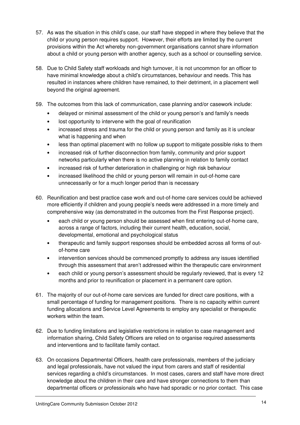- 57. As was the situation in this child's case, our staff have stepped in where they believe that the child or young person requires support. However, their efforts are limited by the current provisions within the Act whereby non-government organisations cannot share information about a child or young person with another agency, such as a school or counselling service.
- 58. Due to Child Safety staff workloads and high turnover, it is not uncommon for an officer to have minimal knowledge about a child's circumstances, behaviour and needs. This has resulted in instances where children have remained, to their detriment, in a placement well beyond the original agreement.
- 59. The outcomes from this lack of communication, case planning and/or casework include:
	- delayed or minimal assessment of the child or young person's and family's needs
	- lost opportunity to intervene with the goal of reunification
	- increased stress and trauma for the child or young person and family as it is unclear what is happening and when
	- less than optimal placement with no follow up support to mitigate possible risks to them
	- increased risk of further disconnection from family, community and prior support networks particularly when there is no active planning in relation to family contact
	- increased risk of further deterioration in challenging or high risk behaviour
	- increased likelihood the child or young person will remain in out-of-home care unnecessarily or for a much longer period than is necessary
- 60. Reunification and best practice case work and out-of-home care services could be achieved more efficiently if children and young people's needs were addressed in a more timely and comprehensive way (as demonstrated in the outcomes from the First Response project).
	- each child or young person should be assessed when first entering out-of-home care, across a range of factors, including their current health, education, social, developmental, emotional and psychological status
	- therapeutic and family support responses should be embedded across all forms of outof-home care
	- intervention services should be commenced promptly to address any issues identified through this assessment that aren't addressed within the therapeutic care environment
	- each child or young person's assessment should be regularly reviewed, that is every 12 months and prior to reunification or placement in a permanent care option.
- 61. The majority of our out-of-home care services are funded for direct care positions, with a small percentage of funding for management positions. There is no capacity within current funding allocations and Service Level Agreements to employ any specialist or therapeutic workers within the team.
- 62. Due to funding limitations and legislative restrictions in relation to case management and information sharing, Child Safety Officers are relied on to organise required assessments and interventions and to facilitate family contact.
- 63. On occasions Departmental Officers, health care professionals, members of the judiciary and legal professionals, have not valued the input from carers and staff of residential services regarding a child's circumstances. In most cases, carers and staff have more direct knowledge about the children in their care and have stronger connections to them than departmental officers or professionals who have had sporadic or no prior contact. This case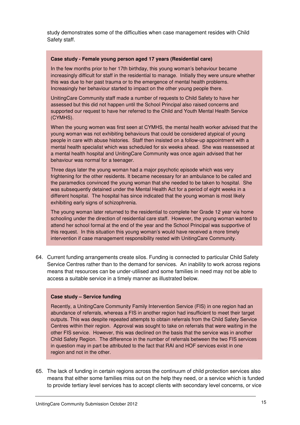study demonstrates some of the difficulties when case management resides with Child Safety staff.

#### **Case study - Female young person aged 17 years (Residential care)**

In the few months prior to her 17th birthday, this young woman's behaviour became increasingly difficult for staff in the residential to manage. Initially they were unsure whether this was due to her past trauma or to the emergence of mental health problems. Increasingly her behaviour started to impact on the other young people there.

UnitingCare Community staff made a number of requests to Child Safety to have her assessed but this did not happen until the School Principal also raised concerns and supported our request to have her referred to the Child and Youth Mental Health Service (CYMHS).

When the young women was first seen at CYMHS, the mental health worker advised that the young woman was not exhibiting behaviours that could be considered atypical of young people in care with abuse histories. Staff then insisted on a follow-up appointment with a mental health specialist which was scheduled for six weeks ahead. She was reassessed at a mental health hospital and UnitingCare Community was once again advised that her behaviour was normal for a teenager.

Three days later the young woman had a major psychotic episode which was very frightening for the other residents. It became necessary for an ambulance to be called and the paramedics convinced the young woman that she needed to be taken to hospital. She was subsequently detained under the Mental Health Act for a period of eight weeks in a different hospital. The hospital has since indicated that the young woman is most likely exhibiting early signs of schizophrenia.

The young woman later returned to the residential to complete her Grade 12 year via home schooling under the direction of residential care staff. However, the young woman wanted to attend her school formal at the end of the year and the School Principal was supportive of this request. In this situation this young woman's would have received a more timely intervention if case management responsibility rested with UnitingCare Community.

64. Current funding arrangements create silos. Funding is connected to particular Child Safety Service Centres rather than to the demand for services. An inability to work across regions means that resources can be under-utilised and some families in need may not be able to access a suitable service in a timely manner as illustrated below.

#### **Case study – Service funding**

Recently, a UnitingCare Community Family Intervention Service (FIS) in one region had an abundance of referrals, whereas a FIS in another region had insufficient to meet their target outputs. This was despite repeated attempts to obtain referrals from the Child Safety Service Centres within their region. Approval was sought to take on referrals that were waiting in the other FIS service. However, this was declined on the basis that the service was in another Child Safety Region. The difference in the number of referrals between the two FIS services in question may in part be attributed to the fact that RAI and HOF services exist in one region and not in the other.

65. The lack of funding in certain regions across the continuum of child protection services also means that either some families miss out on the help they need, or a service which is funded to provide tertiary level services has to accept clients with secondary level concerns, or vice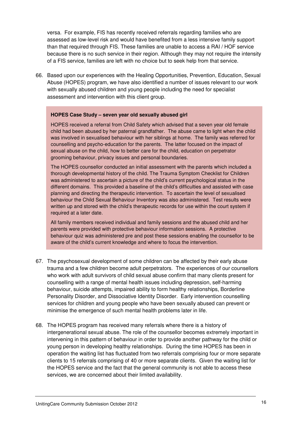versa. For example, FIS has recently received referrals regarding families who are assessed as low-level risk and would have benefited from a less intensive family support than that required through FIS. These families are unable to access a RAI / HOF service because there is no such service in their region. Although they may not require the intensity of a FIS service, families are left with no choice but to seek help from that service.

66. Based upon our experiences with the Healing Opportunities, Prevention, Education, Sexual Abuse (HOPES) program, we have also identified a number of issues relevant to our work with sexually abused children and young people including the need for specialist assessment and intervention with this client group.

#### **HOPES Case Study – seven year old sexually abused girl**

HOPES received a referral from Child Safety which advised that a seven year old female child had been abused by her paternal grandfather. The abuse came to light when the child was involved in sexualised behaviour with her siblings at home. The family was referred for counselling and psycho-education for the parents. The latter focused on the impact of sexual abuse on the child, how to better care for the child, education on perpetrator grooming behaviour, privacy issues and personal boundaries.

The HOPES counsellor conducted an initial assessment with the parents which included a thorough developmental history of the child. The Trauma Symptom Checklist for Children was administered to ascertain a picture of the child's current psychological status in the different domains. This provided a baseline of the child's difficulties and assisted with case planning and directing the therapeutic intervention. To ascertain the level of sexualised behaviour the Child Sexual Behaviour Inventory was also administered. Test results were written up and stored with the child's therapeutic records for use within the court system if required at a later date.

All family members received individual and family sessions and the abused child and her parents were provided with protective behaviour information sessions. A protective behaviour quiz was administered pre and post these sessions enabling the counsellor to be aware of the child's current knowledge and where to focus the intervention.

- 67. The psychosexual development of some children can be affected by their early abuse trauma and a few children become adult perpetrators. The experiences of our counsellors who work with adult survivors of child sexual abuse confirm that many clients present for counselling with a range of mental health issues including depression, self-harming behaviour, suicide attempts, impaired ability to form healthy relationships, Borderline Personality Disorder, and Dissociative Identity Disorder. Early intervention counselling services for children and young people who have been sexually abused can prevent or minimise the emergence of such mental health problems later in life.
- 68. The HOPES program has received many referrals where there is a history of intergenerational sexual abuse. The role of the counsellor becomes extremely important in intervening in this pattern of behaviour in order to provide another pathway for the child or young person in developing healthy relationships. During the time HOPES has been in operation the waiting list has fluctuated from two referrals comprising four or more separate clients to 15 referrals comprising of 40 or more separate clients. Given the waiting list for the HOPES service and the fact that the general community is not able to access these services, we are concerned about their limited availability.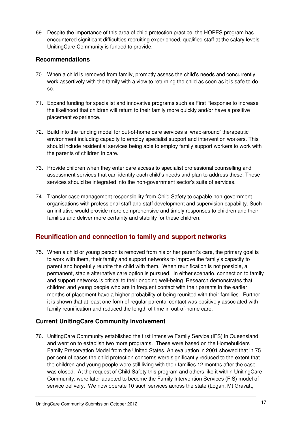69. Despite the importance of this area of child protection practice, the HOPES program has encountered significant difficulties recruiting experienced, qualified staff at the salary levels UnitingCare Community is funded to provide.

### **Recommendations**

- 70. When a child is removed from family, promptly assess the child's needs and concurrently work assertively with the family with a view to returning the child as soon as it is safe to do so.
- 71. Expand funding for specialist and innovative programs such as First Response to increase the likelihood that children will return to their family more quickly and/or have a positive placement experience.
- 72. Build into the funding model for out-of-home care services a 'wrap-around' therapeutic environment including capacity to employ specialist support and intervention workers. This should include residential services being able to employ family support workers to work with the parents of children in care.
- 73. Provide children when they enter care access to specialist professional counselling and assessment services that can identify each child's needs and plan to address these. These services should be integrated into the non-government sector's suite of services.
- 74. Transfer case management responsibility from Child Safety to capable non-government organisations with professional staff and staff development and supervision capability. Such an initiative would provide more comprehensive and timely responses to children and their families and deliver more certainty and stability for these children.

# **Reunification and connection to family and support networks**

75. When a child or young person is removed from his or her parent's care, the primary goal is to work with them, their family and support networks to improve the family's capacity to parent and hopefully reunite the child with them. When reunification is not possible, a permanent, stable alternative care option is pursued. In either scenario, connection to family and support networks is critical to their ongoing well-being .Research demonstrates that children and young people who are in frequent contact with their parents in the earlier months of placement have a higher probability of being reunited with their families. Further, it is shown that at least one form of regular parental contact was positively associated with family reunification and reduced the length of time in out-of-home care.

# **Current UnitingCare Community involvement**

76. UnitingCare Community established the first Intensive Family Service (IFS) in Queensland and went on to establish two more programs. These were based on the Homebuilders Family Preservation Model from the United States. An evaluation in 2001 showed that in 75 per cent of cases the child protection concerns were significantly reduced to the extent that the children and young people were still living with their families 12 months after the case was closed. At the request of Child Safety this program and others like it within UnitingCare Community, were later adapted to become the Family Intervention Services (FIS) model of service delivery. We now operate 10 such services across the state (Logan, Mt Gravatt,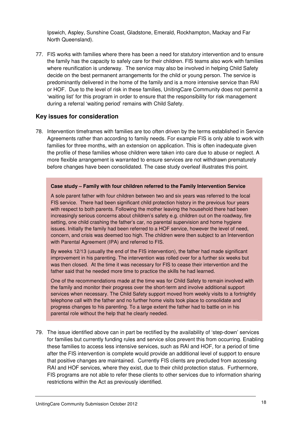Ipswich, Aspley, Sunshine Coast, Gladstone, Emerald, Rockhampton, Mackay and Far North Queensland).

77. FIS works with families where there has been a need for statutory intervention and to ensure the family has the capacity to safely care for their children. FIS teams also work with families where reunification is underway. The service may also be involved in helping Child Safety decide on the best permanent arrangements for the child or young person. The service is predominantly delivered in the home of the family and is a more intensive service than RAI or HOF. Due to the level of risk in these families, UnitingCare Community does not permit a 'waiting list' for this program in order to ensure that the responsibility for risk management during a referral 'waiting period' remains with Child Safety.

#### **Key issues for consideration**

78. Intervention timeframes with families are too often driven by the terms established in Service Agreements rather than according to family needs. For example FIS is only able to work with families for three months, with an extension on application. This is often inadequate given the profile of these families whose children were taken into care due to abuse or neglect. A more flexible arrangement is warranted to ensure services are not withdrawn prematurely before changes have been consolidated. The case study overleaf illustrates this point.

#### **Case study – Family with four children referred to the Family Intervention Service**

A sole parent father with four children between two and six years was referred to the local FIS service. There had been significant child protection history in the previous four years with respect to both parents. Following the mother leaving the household there had been increasingly serious concerns about children's safety e.g. children out on the roadway, fire setting, one child crashing the father's car, no parental supervision and home hygiene issues. Initially the family had been referred to a HOF service, however the level of need, concern, and crisis was deemed too high. The children were then subject to an Intervention with Parental Agreement (IPA) and referred to FIS.

By weeks 12/13 (usually the end of the FIS intervention), the father had made significant improvement in his parenting. The intervention was rolled over for a further six weeks but was then closed. At the time it was necessary for FIS to cease their intervention and the father said that he needed more time to practice the skills he had learned.

One of the recommendations made at the time was for Child Safety to remain involved with the family and monitor their progress over the short-term and involve additional support services when necessary. The Child Safety support moved from weekly visits to a fortnightly telephone call with the father and no further home visits took place to consolidate and progress changes to his parenting. To a large extent the father had to battle on in his parental role without the help that he clearly needed.

79. The issue identified above can in part be rectified by the availability of 'step-down' services for families but currently funding rules and service silos prevent this from occurring. Enabling these families to access less intensive services, such as RAI and HOF, for a period of time after the FIS intervention is complete would provide an additional level of support to ensure that positive changes are maintained. Currently FIS clients are precluded from accessing RAI and HOF services, where they exist, due to their child protection status. Furthermore, FIS programs are not able to refer these clients to other services due to information sharing restrictions within the Act as previously identified.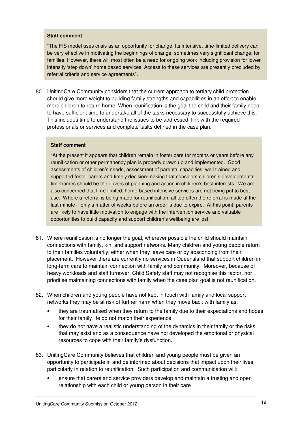#### **Staff comment**

"The FIS model uses crisis as an opportunity for change. Its intensive, time-limited delivery can be very effective in motivating the beginnings of change, sometimes very significant change, for families. However, there will most often be a need for ongoing work including provision for lower intensity 'step down' home based services. Access to these services are presently precluded by referral criteria and service agreements".

80. UnitingCare Community considers that the current approach to tertiary child protection should give more weight to building family strengths and capabilities in an effort to enable more children to return home. When reunification is the goal the child and their family need to have sufficient time to undertake all of the tasks necessary to successfully achieve this. This includes time to understand the issues to be addressed, link with the required professionals or services and complete tasks defined in the case plan.

#### **Staff comment**

"At the present it appears that children remain in foster care for months or years before any reunification or other permanency plan is properly drawn up and implemented. Good assessments of children's needs, assessment of parental capacities, well trained and supported foster carers and timely decision-making that considers children's developmental timeframes should be the drivers of planning and action in children's best interests. We are also concerned that time-limited, home-based intensive services are not being put to best use. Where a referral is being made for reunification, all too often the referral is made at the last minute – only a matter of weeks before an order is due to expire. At this point, parents are likely to have little motivation to engage with the intervention service and valuable opportunities to build capacity and support children's wellbeing are lost."

- 81. Where reunification is no longer the goal, wherever possible the child should maintain connections with family, kin, and support networks. Many children and young people return to their families voluntarily, either when they leave care or by absconding from their placement. However there are currently no services in Queensland that support children in long-term care to maintain connection with family and community. Moreover, because of heavy workloads and staff turnover, Child Safety staff may not recognise this factor, nor prioritise maintaining connections with family when the case plan goal is not reunification.
- 82. When children and young people have not kept in touch with family and local support networks they may be at risk of further harm when they move back with family as:
	- they are traumatised when they return to the family due to their expectations and hopes for their family life do not match their experience
	- they do not have a realistic understanding of the dynamics in their family or the risks that may exist and as a consequence have not developed the emotional or physical resources to cope with their family's dysfunction.
- 83. UnitingCare Community believes that children and young people must be given an opportunity to participate in and be informed about decisions that impact upon their lives, particularly in relation to reunification. Such participation and communication will:
	- ensure that carers and service providers develop and maintain a trusting and open relationship with each child or young person in their care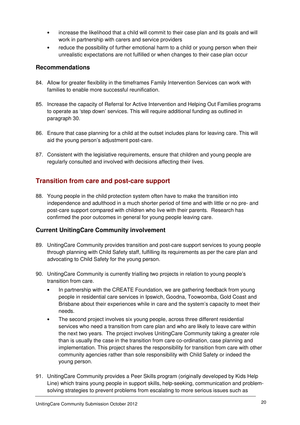- increase the likelihood that a child will commit to their case plan and its goals and will work in partnership with carers and service providers
- reduce the possibility of further emotional harm to a child or young person when their unrealistic expectations are not fulfilled or when changes to their case plan occur

# **Recommendations**

- 84. Allow for greater flexibility in the timeframes Family Intervention Services can work with families to enable more successful reunification.
- 85. Increase the capacity of Referral for Active Intervention and Helping Out Families programs to operate as 'step down' services. This will require additional funding as outlined in paragraph 30.
- 86. Ensure that case planning for a child at the outset includes plans for leaving care. This will aid the young person's adjustment post-care.
- 87. Consistent with the legislative requirements, ensure that children and young people are regularly consulted and involved with decisions affecting their lives.

# **Transition from care and post-care support**

88. Young people in the child protection system often have to make the transition into independence and adulthood in a much shorter period of time and with little or no pre- and post-care support compared with children who live with their parents. Research has confirmed the poor outcomes in general for young people leaving care.

# **Current UnitingCare Community involvement**

- 89. UnitingCare Community provides transition and post-care support services to young people through planning with Child Safety staff, fulfilling its requirements as per the care plan and advocating to Child Safety for the young person.
- 90. UnitingCare Community is currently trialling two projects in relation to young people's transition from care.
	- In partnership with the CREATE Foundation, we are gathering feedback from young people in residential care services in Ipswich, Goodna, Toowoomba, Gold Coast and Brisbane about their experiences while in care and the system's capacity to meet their needs.
	- The second project involves six young people, across three different residential services who need a transition from care plan and who are likely to leave care within the next two years. The project involves UnitingCare Community taking a greater role than is usually the case in the transition from care co-ordination, case planning and implementation. This project shares the responsibility for transition from care with other community agencies rather than sole responsibility with Child Safety or indeed the young person.
- 91. UnitingCare Community provides a Peer Skills program (originally developed by Kids Help Line) which trains young people in support skills, help-seeking, communication and problemsolving strategies to prevent problems from escalating to more serious issues such as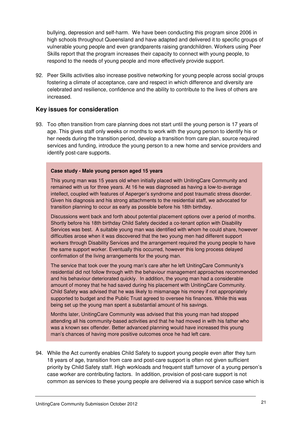bullying, depression and self-harm. We have been conducting this program since 2006 in high schools throughout Queensland and have adapted and delivered it to specific groups of vulnerable young people and even grandparents raising grandchildren. Workers using Peer Skills report that the program increases their capacity to connect with young people, to respond to the needs of young people and more effectively provide support.

92. Peer Skills activities also increase positive networking for young people across social groups fostering a climate of acceptance, care and respect in which difference and diversity are celebrated and resilience, confidence and the ability to contribute to the lives of others are increased.

### **Key issues for consideration**

93. Too often transition from care planning does not start until the young person is 17 years of age. This gives staff only weeks or months to work with the young person to identify his or her needs during the transition period, develop a transition from care plan, source required services and funding, introduce the young person to a new home and service providers and identify post-care supports.

#### **Case study - Male young person aged 15 years**

This young man was 15 years old when initially placed with UnitingCare Community and remained with us for three years. At 16 he was diagnosed as having a low-to-average intellect, coupled with features of Asperger's syndrome and post traumatic stress disorder. Given his diagnosis and his strong attachments to the residential staff, we advocated for transition planning to occur as early as possible before his 18th birthday.

Discussions went back and forth about potential placement options over a period of months. Shortly before his 18th birthday Child Safety decided a co-tenant option with Disability Services was best. A suitable young man was identified with whom he could share, however difficulties arose when it was discovered that the two young men had different support workers through Disability Services and the arrangement required the young people to have the same support worker. Eventually this occurred, however this long process delayed confirmation of the living arrangements for the young man.

The service that took over the young man's care after he left UnitingCare Community's residential did not follow through with the behaviour management approaches recommended and his behaviour deteriorated quickly. In addition, the young man had a considerable amount of money that he had saved during his placement with UnitingCare Community. Child Safety was advised that he was likely to mismanage his money if not appropriately supported to budget and the Public Trust agreed to oversee his finances. While this was being set up the young man spent a substantial amount of his savings.

Months later, UnitingCare Community was advised that this young man had stopped attending all his community-based activities and that he had moved in with his father who was a known sex offender. Better advanced planning would have increased this young man's chances of having more positive outcomes once he had left care.

94. While the Act currently enables Child Safety to support young people even after they turn 18 years of age, transition from care and post-care support is often not given sufficient priority by Child Safety staff. High workloads and frequent staff turnover of a young person's case worker are contributing factors. In addition, provision of post-care support is not common as services to these young people are delivered via a support service case which is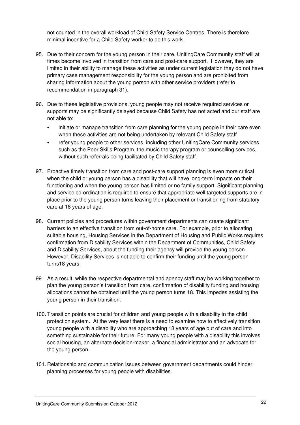not counted in the overall workload of Child Safety Service Centres. There is therefore minimal incentive for a Child Safety worker to do this work.

- 95. Due to their concern for the young person in their care, UnitingCare Community staff will at times become involved in transition from care and post-care support. However, they are limited in their ability to manage these activities as under current legislation they do not have primary case management responsibility for the young person and are prohibited from sharing information about the young person with other service providers (refer to recommendation in paragraph 31).
- 96. Due to these legislative provisions, young people may not receive required services or supports may be significantly delayed because Child Safety has not acted and our staff are not able to:
	- initiate or manage transition from care planning for the young people in their care even when these activities are not being undertaken by relevant Child Safety staff
	- refer young people to other services, including other UnitingCare Community services such as the Peer Skills Program, the music therapy program or counselling services, without such referrals being facilitated by Child Safety staff.
- 97. Proactive timely transition from care and post-care support planning is even more critical when the child or young person has a disability that will have long-term impacts on their functioning and when the young person has limited or no family support. Significant planning and service co-ordination is required to ensure that appropriate well targeted supports are in place prior to the young person turns leaving their placement or transitioning from statutory care at 18 years of age.
- 98. Current policies and procedures within government departments can create significant barriers to an effective transition from out-of-home care. For example, prior to allocating suitable housing, Housing Services in the Department of Housing and Public Works requires confirmation from Disability Services within the Department of Communities, Child Safety and Disability Services, about the funding their agency will provide the young person. However, Disability Services is not able to confirm their funding until the young person turns18 years.
- 99. As a result, while the respective departmental and agency staff may be working together to plan the young person's transition from care, confirmation of disability funding and housing allocations cannot be obtained until the young person turns 18. This impedes assisting the young person in their transition.
- 100. Transition points are crucial for children and young people with a disability in the child protection system. At the very least there is a need to examine how to effectively transition young people with a disability who are approaching 18 years of age out of care and into something sustainable for their future. For many young people with a disability this involves social housing, an alternate decision-maker, a financial administrator and an advocate for the young person.
- 101. Relationship and communication issues between government departments could hinder planning processes for young people with disabilities.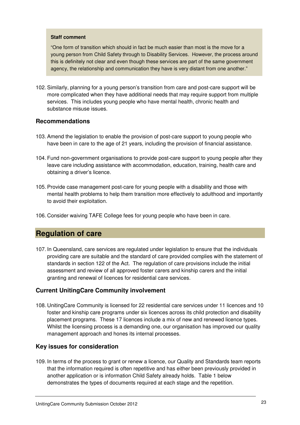#### **Staff comment**

"One form of transition which should in fact be much easier than most is the move for a young person from Child Safety through to Disability Services. However, the process around this is definitely not clear and even though these services are part of the same government agency, the relationship and communication they have is very distant from one another."

102. Similarly, planning for a young person's transition from care and post-care support will be more complicated when they have additional needs that may require support from multiple services. This includes young people who have mental health, chronic health and substance misuse issues.

#### **Recommendations**

- 103. Amend the legislation to enable the provision of post-care support to young people who have been in care to the age of 21 years, including the provision of financial assistance.
- 104. Fund non-government organisations to provide post-care support to young people after they leave care including assistance with accommodation, education, training, health care and obtaining a driver's licence.
- 105. Provide case management post-care for young people with a disability and those with mental health problems to help them transition more effectively to adulthood and importantly to avoid their exploitation.
- 106. Consider waiving TAFE College fees for young people who have been in care.

# **Regulation of care**

107. In Queensland, care services are regulated under legislation to ensure that the individuals providing care are suitable and the standard of care provided complies with the statement of standards in section 122 of the Act. The regulation of care provisions include the initial assessment and review of all approved foster carers and kinship carers and the initial granting and renewal of licences for residential care services.

#### **Current UnitingCare Community involvement**

108. UnitingCare Community is licensed for 22 residential care services under 11 licences and 10 foster and kinship care programs under six licences across its child protection and disability placement programs. These 17 licences include a mix of new and renewed licence types. Whilst the licensing process is a demanding one, our organisation has improved our quality management approach and hones its internal processes.

#### **Key issues for consideration**

109. In terms of the process to grant or renew a licence, our Quality and Standards team reports that the information required is often repetitive and has either been previously provided in another application or is information Child Safety already holds. Table 1 below demonstrates the types of documents required at each stage and the repetition.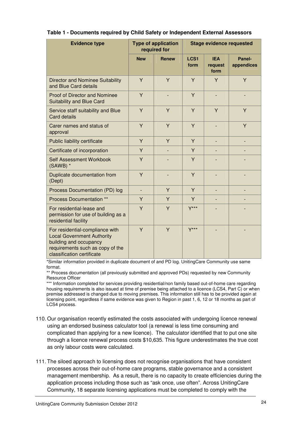| <b>Evidence type</b>                                                                                                                                             | <b>Type of application</b><br>required for |              | <b>Stage evidence requested</b> |                               |                      |
|------------------------------------------------------------------------------------------------------------------------------------------------------------------|--------------------------------------------|--------------|---------------------------------|-------------------------------|----------------------|
|                                                                                                                                                                  | <b>New</b>                                 | <b>Renew</b> | LCS <sub>1</sub><br>form        | <b>IEA</b><br>request<br>form | Panel-<br>appendices |
| <b>Director and Nominee Suitability</b><br>and Blue Card details                                                                                                 | Y                                          | Y            | Y                               | Y                             | Y                    |
| <b>Proof of Director and Nominee</b><br><b>Suitability and Blue Card</b>                                                                                         | Y                                          |              | Y                               |                               |                      |
| Service staff suitability and Blue<br><b>Card details</b>                                                                                                        | Y                                          | Y            | Y                               | Y                             | Y                    |
| Carer names and status of<br>approval                                                                                                                            | Y                                          | Y            | Y                               | $\overline{a}$                | Y                    |
| Public liability certificate                                                                                                                                     | Y                                          | Y            | Y                               | $\overline{a}$                |                      |
| Certificate of incorporation                                                                                                                                     | Y                                          |              | Y                               |                               |                      |
| <b>Self Assessment Workbook</b><br>(SAWB) *                                                                                                                      | Ÿ                                          |              | Y                               |                               |                      |
| Duplicate documentation from<br>(Dept)                                                                                                                           | Y                                          |              | Y                               |                               |                      |
| Process Documentation (PD) log                                                                                                                                   | $\overline{\phantom{a}}$                   | Y            | Y                               | ٠                             |                      |
| <b>Process Documentation **</b>                                                                                                                                  | Y                                          | Y            | Y                               |                               |                      |
| For residential-lease and<br>permission for use of building as a<br>residential facility                                                                         | Y                                          | Y            | $Y***$                          |                               |                      |
| For residential-compliance with<br><b>Local Government Authority</b><br>building and occupancy<br>requirements such as copy of the<br>classification certificate | Ÿ                                          | Ÿ            | $Y***$                          |                               |                      |

#### **Table 1 - Documents required by Child Safety or Independent External Assessors**

\*Similar information provided in duplicate document of and PD log. UnitingCare Community use same format.

\*\* Process documentation (all previously submitted and approved PDs) requested by new Community Resource Officer

\*\*\* Information completed for services providing residential/non family based out-of-home care regarding housing requirements is also issued at time of premise being attached to a licence (LCS4, Part C) or when premise addressed is changed due to moving premises. This information still has to be provided again at licensing point, regardless if same evidence was given to Region in past 1, 6, 12 or 18 months as part of LCS4 process.

- 110. Our organisation recently estimated the costs associated with undergoing licence renewal using an endorsed business calculator tool (a renewal is less time consuming and complicated than applying for a new licence). The calculator identified that to put one site through a licence renewal process costs \$10,635. This figure underestimates the true cost as only labour costs were calculated.
- 111. The siloed approach to licensing does not recognise organisations that have consistent processes across their out-of-home care programs, stable governance and a consistent management membership. As a result, there is no capacity to create efficiencies during the application process including those such as "ask once, use often". Across UnitingCare Community, 18 separate licensing applications must be completed to comply with the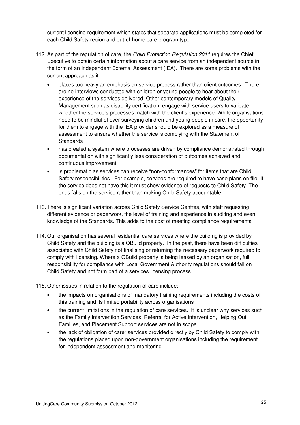current licensing requirement which states that separate applications must be completed for each Child Safety region and out-of-home care program type.

- 112. As part of the regulation of care, the *Child Protection Regulation 2011* requires the Chief Executive to obtain certain information about a care service from an independent source in the form of an Independent External Assessment (IEA). There are some problems with the current approach as it:
	- places too heavy an emphasis on service process rather than client outcomes. There are no interviews conducted with children or young people to hear about their experience of the services delivered. Other contemporary models of Quality Management such as disability certification, engage with service users to validate whether the service's processes match with the client's experience. While organisations need to be mindful of over surveying children and young people in care, the opportunity for them to engage with the IEA provider should be explored as a measure of assessment to ensure whether the service is complying with the Statement of **Standards**
	- has created a system where processes are driven by compliance demonstrated through documentation with significantly less consideration of outcomes achieved and continuous improvement
	- is problematic as services can receive "non-conformances" for items that are Child Safety responsibilities. For example, services are required to have case plans on file. If the service does not have this it must show evidence of requests to Child Safety. The onus falls on the service rather than making Child Safety accountable
- 113. There is significant variation across Child Safety Service Centres, with staff requesting different evidence or paperwork, the level of training and experience in auditing and even knowledge of the Standards. This adds to the cost of meeting compliance requirements.
- 114. Our organisation has several residential care services where the building is provided by Child Safety and the building is a QBuild property. In the past, there have been difficulties associated with Child Safety not finalising or returning the necessary paperwork required to comply with licensing. Where a QBuild property is being leased by an organisation, full responsibility for compliance with Local Government Authority regulations should fall on Child Safety and not form part of a services licensing process.

115. Other issues in relation to the regulation of care include:

- the impacts on organisations of mandatory training requirements including the costs of this training and its limited portability across organisations
- the current limitations in the regulation of care services. It is unclear why services such as the Family Intervention Services, Referral for Active Intervention, Helping Out Families, and Placement Support services are not in scope
- the lack of obligation of carer services provided directly by Child Safety to comply with the regulations placed upon non-government organisations including the requirement for independent assessment and monitoring.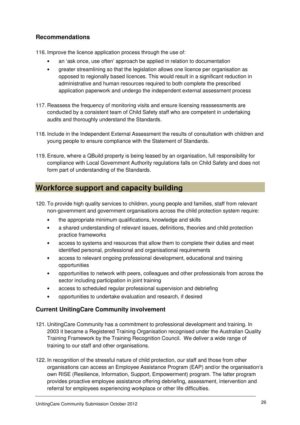# **Recommendations**

116. Improve the licence application process through the use of:

- an 'ask once, use often' approach be applied in relation to documentation
- greater streamlining so that the legislation allows one licence per organisation as opposed to regionally based licences. This would result in a significant reduction in administrative and human resources required to both complete the prescribed application paperwork and undergo the independent external assessment process
- 117. Reassess the frequency of monitoring visits and ensure licensing reassessments are conducted by a consistent team of Child Safety staff who are competent in undertaking audits and thoroughly understand the Standards.
- 118. Include in the Independent External Assessment the results of consultation with children and young people to ensure compliance with the Statement of Standards.
- 119. Ensure, where a QBuild property is being leased by an organisation, full responsibility for compliance with Local Government Authority regulations falls on Child Safety and does not form part of understanding of the Standards.

# **Workforce support and capacity building**

- 120. To provide high quality services to children, young people and families, staff from relevant non-government and government organisations across the child protection system require:
	- the appropriate minimum qualifications, knowledge and skills
	- a shared understanding of relevant issues, definitions, theories and child protection practice frameworks
	- access to systems and resources that allow them to complete their duties and meet identified personal, professional and organisational requirements
	- access to relevant ongoing professional development, educational and training opportunities
	- opportunities to network with peers, colleagues and other professionals from across the sector including participation in joint training
	- access to scheduled regular professional supervision and debriefing
	- opportunities to undertake evaluation and research, if desired

# **Current UnitingCare Community involvement**

- 121. UnitingCare Community has a commitment to professional development and training. In 2003 it became a Registered Training Organisation recognised under the Australian Quality Training Framework by the Training Recognition Council. We deliver a wide range of training to our staff and other organisations.
- 122. In recognition of the stressful nature of child protection, our staff and those from other organisations can access an Employee Assistance Program (EAP) and/or the organisation's own RISE (Resilience, Information, Support, Empowerment) program. The latter program provides proactive employee assistance offering debriefing, assessment, intervention and referral for employees experiencing workplace or other life difficulties.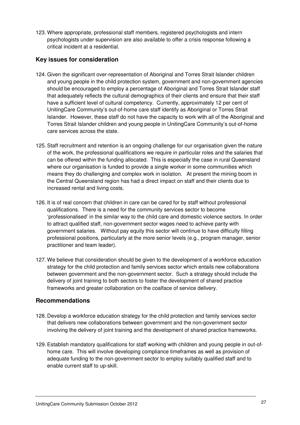123. Where appropriate, professional staff members, registered psychologists and intern psychologists under supervision are also available to offer a crisis response following a critical incident at a residential.

### **Key issues for consideration**

- 124. Given the significant over-representation of Aboriginal and Torres Strait Islander children and young people in the child protection system, government and non-government agencies should be encouraged to employ a percentage of Aboriginal and Torres Strait Islander staff that adequately reflects the cultural demographics of their clients and ensure that their staff have a sufficient level of cultural competency. Currently, approximately 12 per cent of UnitingCare Community's out-of-home care staff identify as Aboriginal or Torres Strait Islander. However, these staff do not have the capacity to work with all of the Aboriginal and Torres Strait Islander children and young people in UnitingCare Community's out-of-home care services across the state.
- 125. Staff recruitment and retention is an ongoing challenge for our organisation given the nature of the work, the professional qualifications we require in particular roles and the salaries that can be offered within the funding allocated. This is especially the case in rural Queensland where our organisation is funded to provide a single worker in some communities which means they do challenging and complex work in isolation. At present the mining boom in the Central Queensland region has had a direct impact on staff and their clients due to increased rental and living costs.
- 126. It is of real concern that children in care can be cared for by staff without professional qualifications. There is a need for the community services sector to become 'professionalised' in the similar way to the child care and domestic violence sectors. In order to attract qualified staff, non-government sector wages need to achieve parity with government salaries. Without pay equity this sector will continue to have difficulty filling professional positions, particularly at the more senior levels (e.g., program manager, senior practitioner and team leader).
- 127. We believe that consideration should be given to the development of a workforce education strategy for the child protection and family services sector which entails new collaborations between government and the non-government sector. Such a strategy should include the delivery of joint training to both sectors to foster the development of shared practice frameworks and greater collaboration on the coalface of service delivery.

#### **Recommendations**

- 128. Develop a workforce education strategy for the child protection and family services sector that delivers new collaborations between government and the non-government sector involving the delivery of joint training and the development of shared practice frameworks.
- 129. Establish mandatory qualifications for staff working with children and young people in out-ofhome care. This will involve developing compliance timeframes as well as provision of adequate funding to the non-government sector to employ suitably qualified staff and to enable current staff to up-skill.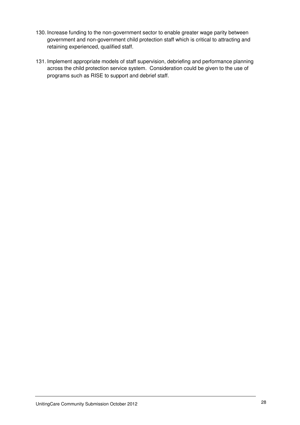- 130. Increase funding to the non-government sector to enable greater wage parity between government and non-government child protection staff which is critical to attracting and retaining experienced, qualified staff.
- 131. Implement appropriate models of staff supervision, debriefing and performance planning across the child protection service system. Consideration could be given to the use of programs such as RISE to support and debrief staff.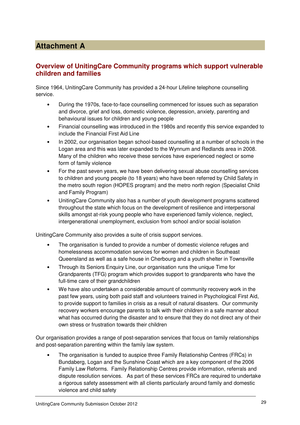# **Attachment A**

# **Overview of UnitingCare Community programs which support vulnerable children and families**

Since 1964, UnitingCare Community has provided a 24-hour Lifeline telephone counselling service.

- During the 1970s, face-to-face counselling commenced for issues such as separation and divorce, grief and loss, domestic violence, depression, anxiety, parenting and behavioural issues for children and young people
- Financial counselling was introduced in the 1980s and recently this service expanded to include the Financial First Aid Line
- In 2002, our organisation began school-based counselling at a number of schools in the Logan area and this was later expanded to the Wynnum and Redlands area in 2008. Many of the children who receive these services have experienced neglect or some form of family violence
- For the past seven years, we have been delivering sexual abuse counselling services to children and young people (to 18 years) who have been referred by Child Safety in the metro south region (HOPES program) and the metro north region (Specialist Child and Family Program)
- UnitingCare Community also has a number of youth development programs scattered throughout the state which focus on the development of resilience and interpersonal skills amongst at-risk young people who have experienced family violence, neglect, intergenerational unemployment, exclusion from school and/or social isolation

UnitingCare Community also provides a suite of crisis support services.

- The organisation is funded to provide a number of domestic violence refuges and homelessness accommodation services for women and children in Southeast Queensland as well as a safe house in Cherbourg and a youth shelter in Townsville
- Through its Seniors Enquiry Line, our organisation runs the unique Time for Grandparents (TFG) program which provides support to grandparents who have the full-time care of their grandchildren
- We have also undertaken a considerable amount of community recovery work in the past few years, using both paid staff and volunteers trained in Psychological First Aid, to provide support to families in crisis as a result of natural disasters. Our community recovery workers encourage parents to talk with their children in a safe manner about what has occurred during the disaster and to ensure that they do not direct any of their own stress or frustration towards their children

Our organisation provides a range of post-separation services that focus on family relationships and post-separation parenting within the family law system.

• The organisation is funded to auspice three Family Relationship Centres (FRCs) in Bundaberg, Logan and the Sunshine Coast which are a key component of the 2006 Family Law Reforms. Family Relationship Centres provide information, referrals and dispute resolution services. As part of these services FRCs are required to undertake a rigorous safety assessment with all clients particularly around family and domestic violence and child safety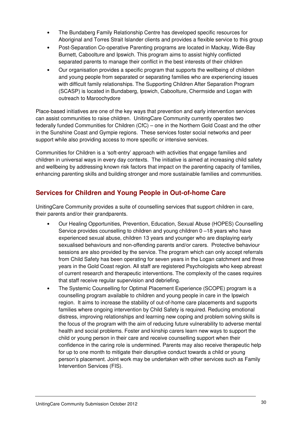- The Bundaberg Family Relationship Centre has developed specific resources for Aboriginal and Torres Strait Islander clients and provides a flexible service to this group
- Post-Separation Co-operative Parenting programs are located in Mackay, Wide-Bay Burnett, Caboolture and Ipswich. This program aims to assist highly conflicted separated parents to manage their conflict in the best interests of their children
- Our organisation provides a specific program that supports the wellbeing of children and young people from separated or separating families who are experiencing issues with difficult family relationships. The Supporting Children After Separation Program (SCASP) is located in Bundaberg, Ipswich, Caboolture, Chermside and Logan with outreach to Maroochydore

Place-based initiatives are one of the key ways that prevention and early intervention services can assist communities to raise children. UnitingCare Community currently operates two federally funded Communities for Children (CfC) – one in the Northern Gold Coast and the other in the Sunshine Coast and Gympie regions. These services foster social networks and peer support while also providing access to more specific or intensive services.

Communities for Children is a 'soft-entry' approach with activities that engage families and children in universal ways in every day contexts. The initiative is aimed at increasing child safety and wellbeing by addressing known risk factors that impact on the parenting capacity of families, enhancing parenting skills and building stronger and more sustainable families and communities.

# **Services for Children and Young People in Out-of-home Care**

UnitingCare Community provides a suite of counselling services that support children in care, their parents and/or their grandparents.

- Our Healing Opportunities, Prevention, Education, Sexual Abuse (HOPES) Counselling Service provides counselling to children and young children 0 –18 years who have experienced sexual abuse, children 13 years and younger who are displaying early sexualised behaviours and non-offending parents and/or carers. Protective behaviour sessions are also provided by the service. The program which can only accept referrals from Child Safety has been operating for seven years in the Logan catchment and three years in the Gold Coast region. All staff are registered Psychologists who keep abreast of current research and therapeutic interventions. The complexity of the cases requires that staff receive regular supervision and debriefing.
- The Systemic Counselling for Optimal Placement Experience (SCOPE) program is a counselling program available to children and young people in care in the Ipswich region. It aims to increase the stability of out-of-home care placements and supports families where ongoing intervention by Child Safety is required. Reducing emotional distress, improving relationships and learning new coping and problem solving skills is the focus of the program with the aim of reducing future vulnerability to adverse mental health and social problems. Foster and kinship carers learn new ways to support the child or young person in their care and receive counselling support when their confidence in the caring role is undermined. Parents may also receive therapeutic help for up to one month to mitigate their disruptive conduct towards a child or young person's placement. Joint work may be undertaken with other services such as Family Intervention Services (FIS).